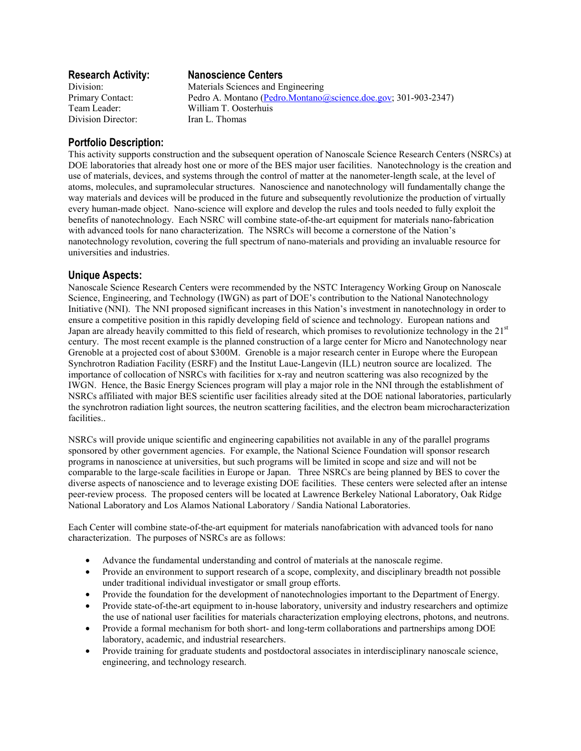Division Director: Iran L. Thomas

# **Research Activity: Nanoscience Centers**

Division: Materials Sciences and Engineering Primary Contact: Pedro A. Montano (Pedro.Montano @science.doe.gov; 301-903-2347) Team Leader: William T. Oosterhuis

## **Portfolio Description:**

This activity supports construction and the subsequent operation of Nanoscale Science Research Centers (NSRCs) at DOE laboratories that already host one or more of the BES major user facilities. Nanotechnology is the creation and use of materials, devices, and systems through the control of matter at the nanometer-length scale, at the level of atoms, molecules, and supramolecular structures. Nanoscience and nanotechnology will fundamentally change the way materials and devices will be produced in the future and subsequently revolutionize the production of virtually every human-made object. Nano-science will explore and develop the rules and tools needed to fully exploit the benefits of nanotechnology. Each NSRC will combine state-of-the-art equipment for materials nano-fabrication with advanced tools for nano characterization. The NSRCs will become a cornerstone of the Nation's nanotechnology revolution, covering the full spectrum of nano-materials and providing an invaluable resource for universities and industries.

## **Unique Aspects:**

Nanoscale Science Research Centers were recommended by the NSTC Interagency Working Group on Nanoscale Science, Engineering, and Technology (IWGN) as part of DOE's contribution to the National Nanotechnology Initiative (NNI). The NNI proposed significant increases in this Nation's investment in nanotechnology in order to ensure a competitive position in this rapidly developing field of science and technology. European nations and Japan are already heavily committed to this field of research, which promises to revolutionize technology in the  $21<sup>st</sup>$ century. The most recent example is the planned construction of a large center for Micro and Nanotechnology near Grenoble at a projected cost of about \$300M. Grenoble is a major research center in Europe where the European Synchrotron Radiation Facility (ESRF) and the Institut Laue-Langevin (ILL) neutron source are localized. The importance of collocation of NSRCs with facilities for x-ray and neutron scattering was also recognized by the IWGN. Hence, the Basic Energy Sciences program will play a major role in the NNI through the establishment of NSRCs affiliated with major BES scientific user facilities already sited at the DOE national laboratories, particularly the synchrotron radiation light sources, the neutron scattering facilities, and the electron beam microcharacterization facilities..

NSRCs will provide unique scientific and engineering capabilities not available in any of the parallel programs sponsored by other government agencies. For example, the National Science Foundation will sponsor research programs in nanoscience at universities, but such programs will be limited in scope and size and will not be comparable to the large-scale facilities in Europe or Japan. Three NSRCs are being planned by BES to cover the diverse aspects of nanoscience and to leverage existing DOE facilities. These centers were selected after an intense peer-review process. The proposed centers will be located at Lawrence Berkeley National Laboratory, Oak Ridge National Laboratory and Los Alamos National Laboratory / Sandia National Laboratories.

Each Center will combine state-of-the-art equipment for materials nanofabrication with advanced tools for nano characterization. The purposes of NSRCs are as follows:

- Advance the fundamental understanding and control of materials at the nanoscale regime.
- Provide an environment to support research of a scope, complexity, and disciplinary breadth not possible under traditional individual investigator or small group efforts.
- Provide the foundation for the development of nanotechnologies important to the Department of Energy.
- Provide state-of-the-art equipment to in-house laboratory, university and industry researchers and optimize the use of national user facilities for materials characterization employing electrons, photons, and neutrons.
- Provide a formal mechanism for both short- and long-term collaborations and partnerships among DOE laboratory, academic, and industrial researchers.
- Provide training for graduate students and postdoctoral associates in interdisciplinary nanoscale science, engineering, and technology research.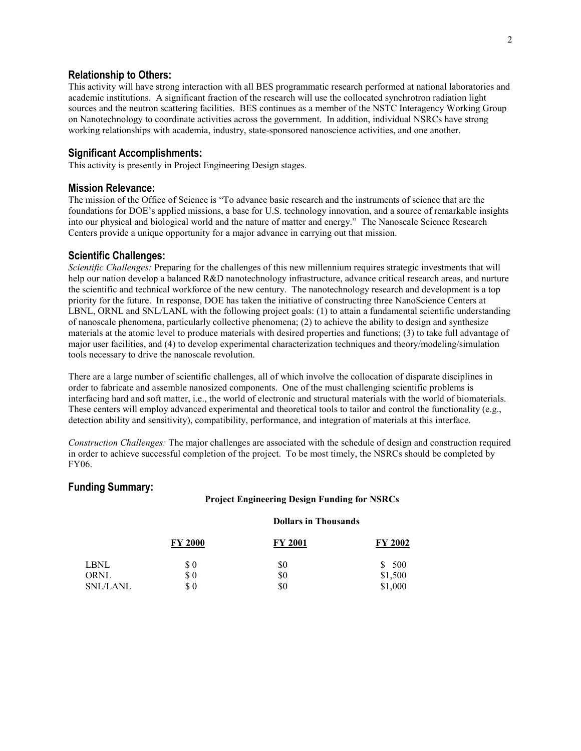#### **Relationship to Others:**

This activity will have strong interaction with all BES programmatic research performed at national laboratories and academic institutions. A significant fraction of the research will use the collocated synchrotron radiation light sources and the neutron scattering facilities. BES continues as a member of the NSTC Interagency Working Group on Nanotechnology to coordinate activities across the government. In addition, individual NSRCs have strong working relationships with academia, industry, state-sponsored nanoscience activities, and one another.

### **Significant Accomplishments:**

This activity is presently in Project Engineering Design stages.

### **Mission Relevance:**

The mission of the Office of Science is "To advance basic research and the instruments of science that are the foundations for DOE's applied missions, a base for U.S. technology innovation, and a source of remarkable insights into our physical and biological world and the nature of matter and energy." The Nanoscale Science Research Centers provide a unique opportunity for a major advance in carrying out that mission.

### **Scientific Challenges:**

*Scientific Challenges:* Preparing for the challenges of this new millennium requires strategic investments that will help our nation develop a balanced R&D nanotechnology infrastructure, advance critical research areas, and nurture the scientific and technical workforce of the new century. The nanotechnology research and development is a top priority for the future. In response, DOE has taken the initiative of constructing three NanoScience Centers at LBNL, ORNL and SNL/LANL with the following project goals: (1) to attain a fundamental scientific understanding of nanoscale phenomena, particularly collective phenomena; (2) to achieve the ability to design and synthesize materials at the atomic level to produce materials with desired properties and functions; (3) to take full advantage of major user facilities, and (4) to develop experimental characterization techniques and theory/modeling/simulation tools necessary to drive the nanoscale revolution.

There are a large number of scientific challenges, all of which involve the collocation of disparate disciplines in order to fabricate and assemble nanosized components. One of the must challenging scientific problems is interfacing hard and soft matter, i.e., the world of electronic and structural materials with the world of biomaterials. These centers will employ advanced experimental and theoretical tools to tailor and control the functionality (e.g., detection ability and sensitivity), compatibility, performance, and integration of materials at this interface.

*Construction Challenges:* The major challenges are associated with the schedule of design and construction required in order to achieve successful completion of the project. To be most timely, the NSRCs should be completed by FY06.

### **Funding Summary:**

#### **Project Engineering Design Funding for NSRCs**

#### **Dollars in Thousands**

|                 | <b>FY 2000</b> | <b>FY 2001</b> | <b>FY 2002</b> |
|-----------------|----------------|----------------|----------------|
| LBNL            | $\$ 0$         | \$0            | \$ 500         |
| ORNL            | $\$ 0$         | \$0            | \$1,500        |
| <b>SNL/LANL</b> | \$0            | \$0            | \$1,000        |